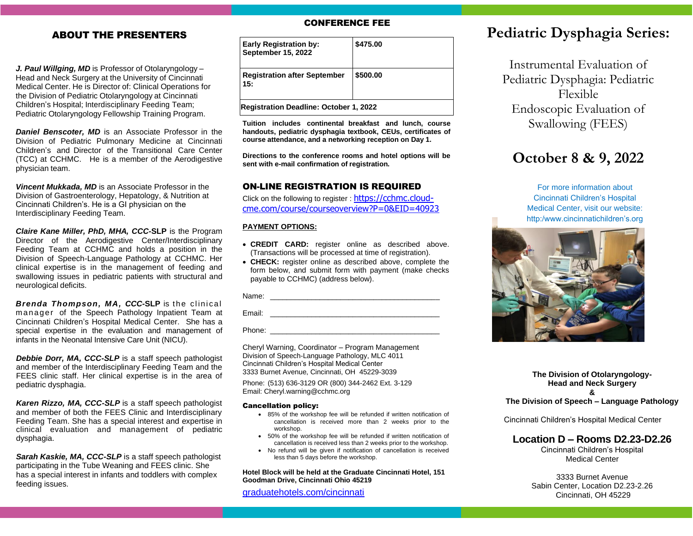# ABOUT THE PRESENTERS

*J. Paul Willging, MD* is Professor of Otolaryngology – Head and Neck Surgery at the University of Cincinnati Medical Center. He is Director of: Clinical Operations for the Division of Pediatric Otolaryngology at Cincinnati Children's Hospital; Interdisciplinary Feeding Team; Pediatric Otolaryngology Fellowship Training Program.

*Daniel Benscoter, MD* is an Associate Professor in the Division of Pediatric Pulmonary Medicine at Cincinnati Children's and Director of the Transitional Care Center (TCC) at CCHMC. He is a member of the Aerodigestive physician team.

*Vincent Mukkada, MD* is an Associate Professor in the Division of Gastroenterology, Hepatology, & Nutrition at Cincinnati Children's. He is a GI physician on the Interdisciplinary Feeding Team.

*Claire Kane Miller, PhD, MHA, CCC-***SLP** is the Program Director of the Aerodigestive Center/Interdisciplinary Feeding Team at CCHMC and holds a position in the Division of Speech-Language Pathology at CCHMC. Her clinical expertise is in the management of feeding and swallowing issues in pediatric patients with structural and neurological deficits.

**Brenda Thompson, MA, CCC-SLP** is the clinical m anager of the Speech Pathology Inpatient Team at Cincinnati Children's Hospital Medical Center. She has a special expertise in the evaluation and management of infants in the Neonatal Intensive Care Unit (NICU).

*Debbie Dorr, MA, CCC-SLP* is a staff speech pathologist and member of the Interdisciplinary Feeding Team and the FEES clinic staff. Her clinical expertise is in the area of pediatric dysphagia.

*Karen Rizzo, MA, CCC-SLP* is a staff speech pathologist and member of both the FEES Clinic and Interdisciplinary Feeding Team. She has a special interest and expertise in clinical evaluation and management of pediatric dysphagia.

*Sarah Kaskie, MA, CCC-SLP* is a staff speech pathologist participating in the Tube Weaning and FEES clinic. She has a special interest in infants and toddlers with complex feeding issues.

### CONFERENCE FEE

| <b>Early Registration by:</b><br><b>September 15, 2022</b> | \$475.00 |
|------------------------------------------------------------|----------|
| <b>Registration after September</b><br>15:                 | \$500.00 |
| <b>Registration Deadline: October 1, 2022</b>              |          |

**Tuition includes continental breakfast and lunch, course handouts, pediatric dysphagia textbook, CEUs, certificates of course attendance, and a networking reception on Day 1.**

**Directions to the conference rooms and hotel options will be sent with e-mail confirmation of registration.**

### ON-LINE REGISTRATION IS REQUIRED

Click on the following to register : [https://cchmc.cloud](https://cchmc.cloud-cme.com/course/courseoverview?P=0&EID=40923)[cme.com/course/courseoverview?P=0&EID=40923](https://cchmc.cloud-cme.com/course/courseoverview?P=0&EID=40923)

#### **PAYMENT OPTIONS:**

- **CREDIT CARD:** register online as described above. (Transactions will be processed at time of registration).
- **CHECK:** register online as described above, complete the form below, and submit form with payment (make checks payable to CCHMC) (address below).

Name: \_\_\_\_\_\_\_\_\_\_\_\_\_\_\_\_\_\_\_\_\_\_\_\_\_\_\_\_\_\_\_\_\_\_\_\_\_\_\_\_\_

Email: \_\_\_\_\_\_\_\_\_\_\_\_\_\_\_\_\_\_\_\_\_\_\_\_\_\_\_\_\_\_\_\_\_\_\_\_\_\_\_\_\_

Phone: \_\_\_\_\_\_\_\_\_\_\_\_\_\_\_\_\_\_\_\_\_\_\_\_\_\_\_\_\_\_\_\_\_\_\_\_\_\_\_\_\_

Cheryl Warning, Coordinator – Program Management Division of Speech-Language Pathology, MLC 4011 Cincinnati Children's Hospital Medical Center 3333 Burnet Avenue, Cincinnati, OH 45229-3039

Phone: (513) 636-3129 OR (800) 344-2462 Ext. 3-129 Email: Cheryl.warning@cchmc.org

#### Cancellation policy:

- 85% of the workshop fee will be refunded if written notification of cancellation is received more than 2 weeks prior to the workshop.
- 50% of the workshop fee will be refunded if written notification of cancellation is received less than 2 weeks prior to the workshop.
- No refund will be given if notification of cancellation is received less than 5 days before the workshop.

**Hotel Block will be held at the Graduate Cincinnati Hotel, 151 Goodman Drive, Cincinnati Ohio 45219**

[graduatehotels.com/cincinnati](https://www.graduatehotels.com/cincinnati/hotel)

# **Pediatric Dysphagia Series:**

Instrumental Evaluation of Pediatric Dysphagia: Pediatric Flexible Endoscopic Evaluation of Swallowing (FEES)

# **October 8 & 9, 2022**

For more information about Cincinnati Children's Hospital Medical Center, visit our website: http:/www.cincinnatichildren's.org



**The Division of Otolaryngology-Head and Neck Surgery**

**&**

**The Division of Speech – Language Pathology**

Cincinnati Children's Hospital Medical Center

## **Location D – Rooms D2.23-D2.26**

Cincinnati Children's Hospital Medical Center

3333 Burnet Avenue Sabin Center, Location D2.23-2.26 Cincinnati, OH 45229